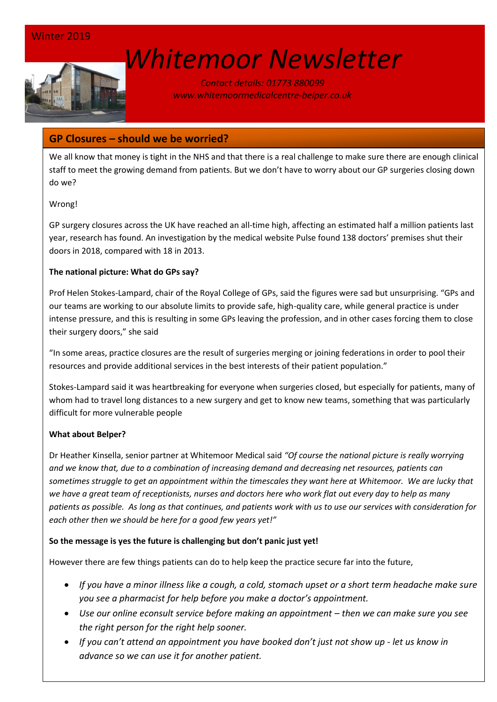# *[W](http://www.google.co.uk/url?sa=i&rct=j&q=&esrc=s&source=images&cd=&cad=rja&uact=8&ved=0ahUKEwin-cyyiKnSAhVEWBQKHSM6ALcQjRwIBw&url=http://www.marsh-associates.org/marsh associates healthcare.html&psig=AFQjCNFsQSs3O1ON_CSbThOIRhZZ0AZsGQ&ust=1488037117603691)hitemoor Newsletter*

*Contact details: 01773 880099 www.whitemoormedicalcentre-belper.co.uk*

# **GP Closures – should we be worried?**

We all know that money is tight in the NHS and that there is a real challenge to make sure there are enough clinical staff to meet the growing demand from patients. But we don't have to worry about our GP surgeries closing down do we?

## Wrong!

GP surgery closures across the UK have reached an all-time high, affecting an estimated half a million patients last year, research has found. An investigation by the medical website Pulse found 138 doctors' premises shut their doors in 2018, compared with 18 in 2013.

#### **The national picture: What do GPs say?**

Prof Helen Stokes-Lampard, chair of the Royal College of GPs, said the figures were sad but unsurprising. "GPs and our teams are working to our absolute limits to provide safe, high-quality care, while general practice is under intense pressure, and this is resulting in some GPs leaving the profession, and in other cases forcing them to close their surgery doors," she said

"In some areas, practice closures are the result of surgeries merging or joining federations in order to pool their resources and provide additional services in the best interests of their patient population."

Stokes-Lampard said it was heartbreaking for everyone when surgeries closed, but especially for patients, many of whom had to travel long distances to a new surgery and get to know new teams, something that was particularly difficult for more vulnerable people

#### **What about Belper?**

Dr Heather Kinsella, senior partner at Whitemoor Medical said *"Of course the national picture is really worrying and we know that, due to a combination of increasing demand and decreasing net resources, patients can sometimes struggle to get an appointment within the timescales they want here at Whitemoor. We are lucky that we have a great team of receptionists, nurses and doctors here who work flat out every day to help as many patients as possible. As long as that continues, and patients work with us to use our services with consideration for each other then we should be here for a good few years yet!"*

## **So the message is yes the future is challenging but don't panic just yet!**

However there are few things patients can do to help keep the practice secure far into the future,

- *If you have a minor illness like a cough, a cold, stomach upset or a short term headache make sure you see a pharmacist for help before you make a doctor's appointment.*
- **•** Use our online econsult service before making an appointment then we can make sure you see *the right person for the right help sooner.*
- *If you can't attend an appointment you have booked don't just not show up - let us know in advance so we can use it for another patient.*